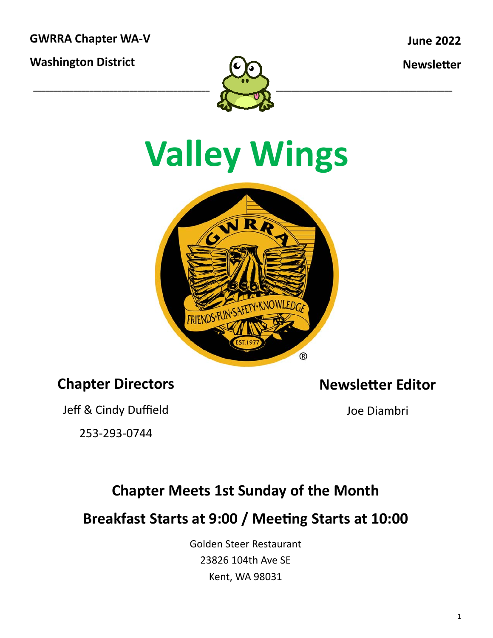**GWRRA Chapter WA‐V** 

**Washington District** 

**June 2022** 

**Newsletter** 



### **Valley Wings**



#### **Chapter Directors**

**Newsletter Editor** 

Jeff & Cindy Duffield

253‐293‐0744

Joe Diambri

#### **Chapter Meets 1st Sunday of the Month**

Breakfast Starts at 9:00 / Meeting Starts at 10:00

Golden Steer Restaurant 23826 104th Ave SE Kent, WA 98031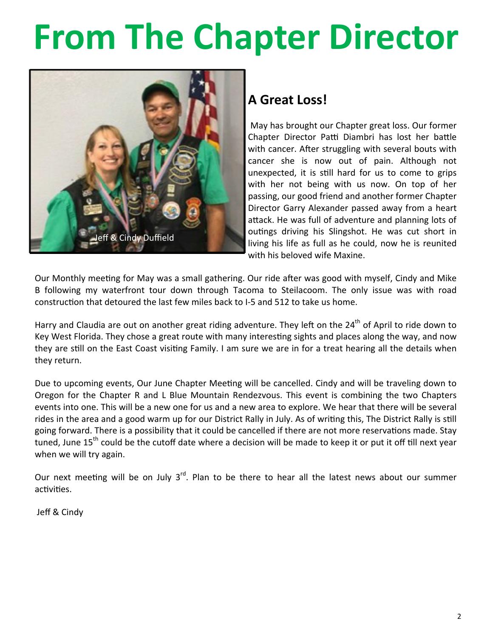### **From The Chapter Director**



#### **A Great Loss!**

 May has brought our Chapter great loss. Our former Chapter Director Patti Diambri has lost her battle with cancer. After struggling with several bouts with cancer she is now out of pain. Although not unexpected, it is still hard for us to come to grips with her not being with us now. On top of her passing, our good friend and another former Chapter Director Garry Alexander passed away from a heart attack. He was full of adventure and planning lots of outings driving his Slingshot. He was cut short in living his life as full as he could, now he is reunited with his beloved wife Maxine.

Our Monthly meeting for May was a small gathering. Our ride after was good with myself, Cindy and Mike B following my waterfront tour down through Tacoma to Steilacoom. The only issue was with road construction that detoured the last few miles back to I-5 and 512 to take us home.

Harry and Claudia are out on another great riding adventure. They left on the  $24<sup>th</sup>$  of April to ride down to Key West Florida. They chose a great route with many interesting sights and places along the way, and now they are still on the East Coast visiting Family. I am sure we are in for a treat hearing all the details when they return.

Due to upcoming events, Our June Chapter Meeting will be cancelled. Cindy and will be traveling down to Oregon for the Chapter R and L Blue Mountain Rendezvous. This event is combining the two Chapters events into one. This will be a new one for us and a new area to explore. We hear that there will be several rides in the area and a good warm up for our District Rally in July. As of writing this, The District Rally is still going forward. There is a possibility that it could be cancelled if there are not more reservations made. Stay tuned, June 15<sup>th</sup> could be the cutoff date where a decision will be made to keep it or put it off till next year when we will try again.

Our next meeting will be on July  $3^{rd}$ . Plan to be there to hear all the latest news about our summer activities.

Jeff & Cindy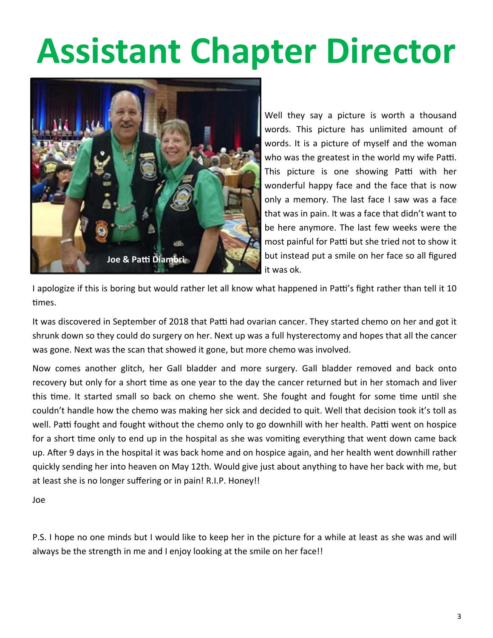### **Assistant Chapter Director**



Well they say a picture is worth a thousand words. This picture has unlimited amount of words. It is a picture of myself and the woman who was the greatest in the world my wife Patti. This picture is one showing Patti with her wonderful happy face and the face that is now only a memory. The last face I saw was a face that was in pain. It was a face that didn't want to be here anymore. The last few weeks were the most painful for Patti but she tried not to show it but instead put a smile on her face so all figured it was ok.

I apologize if this is boring but would rather let all know what happened in Patti's fight rather than tell it 10 times.

It was discovered in September of 2018 that Patti had ovarian cancer. They started chemo on her and got it shrunk down so they could do surgery on her. Next up was a full hysterectomy and hopes that all the cancer was gone. Next was the scan that showed it gone, but more chemo was involved.

Now comes another glitch, her Gall bladder and more surgery. Gall bladder removed and back onto recovery but only for a short time as one year to the day the cancer returned but in her stomach and liver this time. It started small so back on chemo she went. She fought and fought for some time until she couldn't handle how the chemo was making her sick and decided to quit. Well that decision took it's toll as well. Patti fought and fought without the chemo only to go downhill with her health. Patti went on hospice for a short time only to end up in the hospital as she was vomiting everything that went down came back up. After 9 days in the hospital it was back home and on hospice again, and her health went downhill rather quickly sending her into heaven on May 12th. Would give just about anything to have her back with me, but at least she is no longer suffering or in pain! R.I.P. Honey!!

Joe

P.S. I hope no one minds but I would like to keep her in the picture for a while at least as she was and will always be the strength in me and I enjoy looking at the smile on her face!!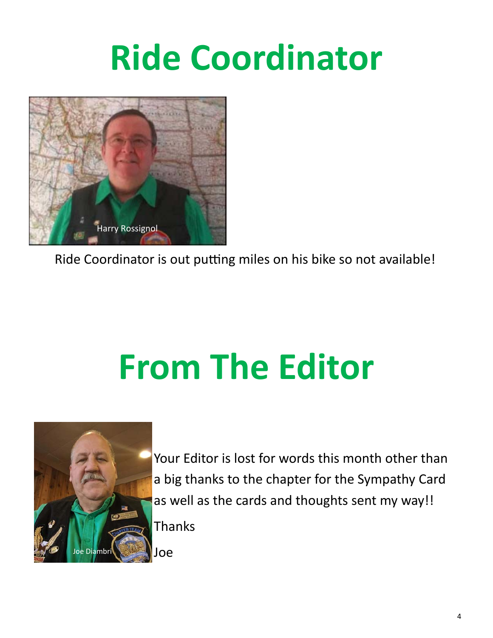### **Ride Coordinator**



Ride Coordinator is out putting miles on his bike so not available!

## **From The Editor**



Your Editor is lost for words this month other than a big thanks to the chapter for the Sympathy Card as well as the cards and thoughts sent my way!!

Thanks

Joe Joe Diambri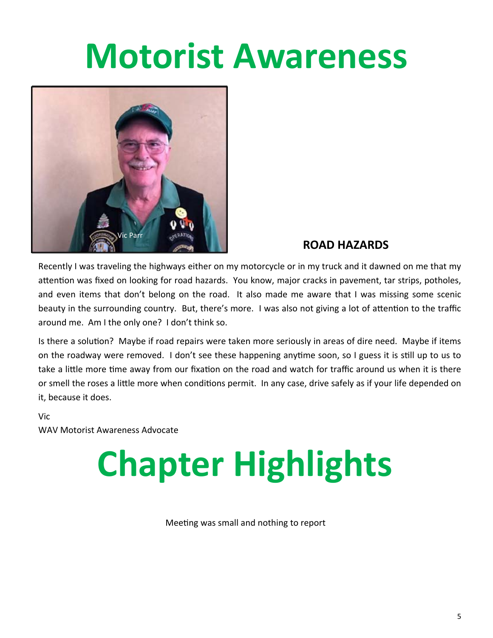#### **Motorist Awareness**



#### **ROAD HAZARDS**

Recently I was traveling the highways either on my motorcycle or in my truck and it dawned on me that my attention was fixed on looking for road hazards. You know, major cracks in pavement, tar strips, potholes, and even items that don't belong on the road. It also made me aware that I was missing some scenic beauty in the surrounding country. But, there's more. I was also not giving a lot of attention to the traffic around me. Am I the only one? I don't think so.

Is there a solution? Maybe if road repairs were taken more seriously in areas of dire need. Maybe if items on the roadway were removed. I don't see these happening anytime soon, so I guess it is still up to us to take a little more time away from our fixation on the road and watch for traffic around us when it is there or smell the roses a little more when conditions permit. In any case, drive safely as if your life depended on it, because it does.

Vic

WAV Motorist Awareness Advocate

## **Chapter Highlights**

Meeting was small and nothing to report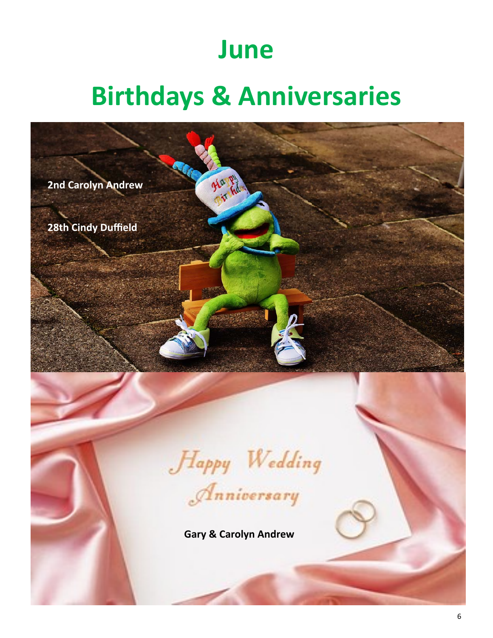#### **June**

#### **Birthdays & Anniversaries**

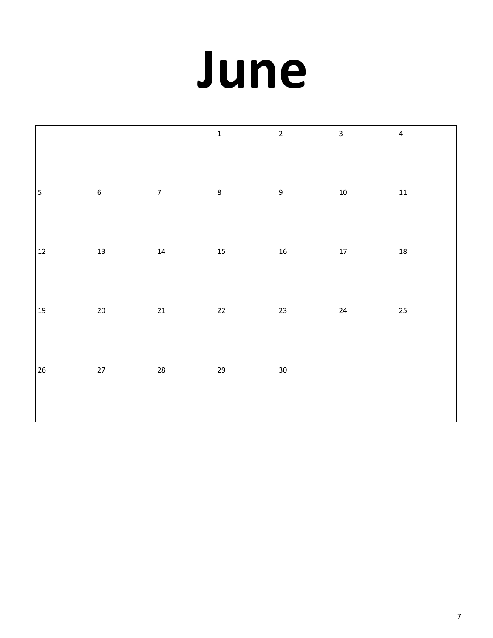# **June**

|                         |                  |                  | $\mathbf 1$ | $\overline{2}$   | $\mathbf{3}$ | $\overline{4}$ |
|-------------------------|------------------|------------------|-------------|------------------|--------------|----------------|
| $\overline{\mathbf{5}}$ | $\boldsymbol{6}$ | $\boldsymbol{7}$ | $\,8\,$     | $\boldsymbol{9}$ | $10\,$       | $11\,$         |
| $12\,$                  | 13               | 14               | 15          | ${\bf 16}$       | $17\,$       | ${\bf 18}$     |
| $19\,$                  | $20\,$           | $21\,$           | $22\,$      | 23               | $24\,$       | 25             |
| 26                      | $27\,$           | ${\bf 28}$       | 29          | $30\,$           |              |                |
|                         |                  |                  |             |                  |              |                |